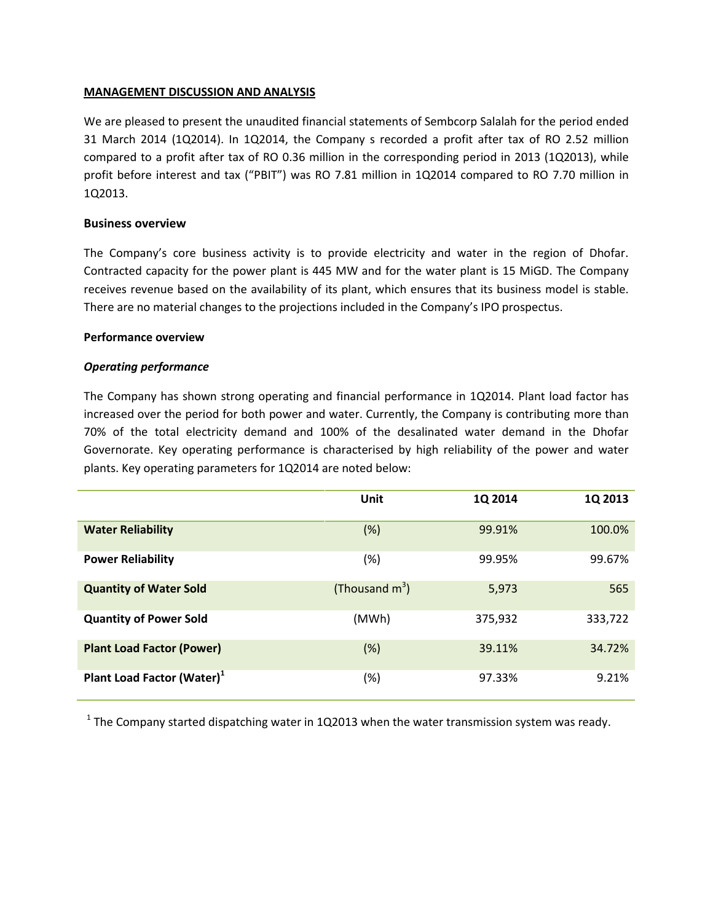## **MANAGEMENT DISCUSSION AND ANALYSIS**

We are pleased to present the unaudited financial statements of Sembcorp Salalah for the period ended 31 March 2014 (1Q2014). In 1Q2014, the Company s recorded a profit after tax of RO 2.52 million compared to a profit after tax of RO 0.36 million in the corresponding period in 2013 (1Q2013), while profit before interest and tax ("PBIT") was RO 7.81 million in 1Q2014 compared to RO 7.70 million in 1Q2013.

## **Business overview**

The Company's core business activity is to provide electricity and water in the region of Dhofar. Contracted capacity for the power plant is 445 MW and for the water plant is 15 MiGD. The Company receives revenue based on the availability of its plant, which ensures that its business model is stable. There are no material changes to the projections included in the Company's IPO prospectus.

#### **Performance overview**

## *Operating performance*

The Company has shown strong operating and financial performance in 1Q2014. Plant load factor has increased over the period for both power and water. Currently, the Company is contributing more than 70% of the total electricity demand and 100% of the desalinated water demand in the Dhofar Governorate. Key operating performance is characterised by high reliability of the power and water plants. Key operating parameters for 1Q2014 are noted below:

|                                        | Unit              | 1Q 2014 | 1Q 2013 |
|----------------------------------------|-------------------|---------|---------|
| <b>Water Reliability</b>               | (%)               | 99.91%  | 100.0%  |
| <b>Power Reliability</b>               | (%)               | 99.95%  | 99.67%  |
| <b>Quantity of Water Sold</b>          | (Thousand $m^3$ ) | 5,973   | 565     |
| <b>Quantity of Power Sold</b>          | (MWh)             | 375,932 | 333,722 |
| <b>Plant Load Factor (Power)</b>       | $(\%)$            | 39.11%  | 34.72%  |
| Plant Load Factor (Water) <sup>1</sup> | (%)               | 97.33%  | 9.21%   |

 $<sup>1</sup>$  The Company started dispatching water in 1Q2013 when the water transmission system was ready.</sup>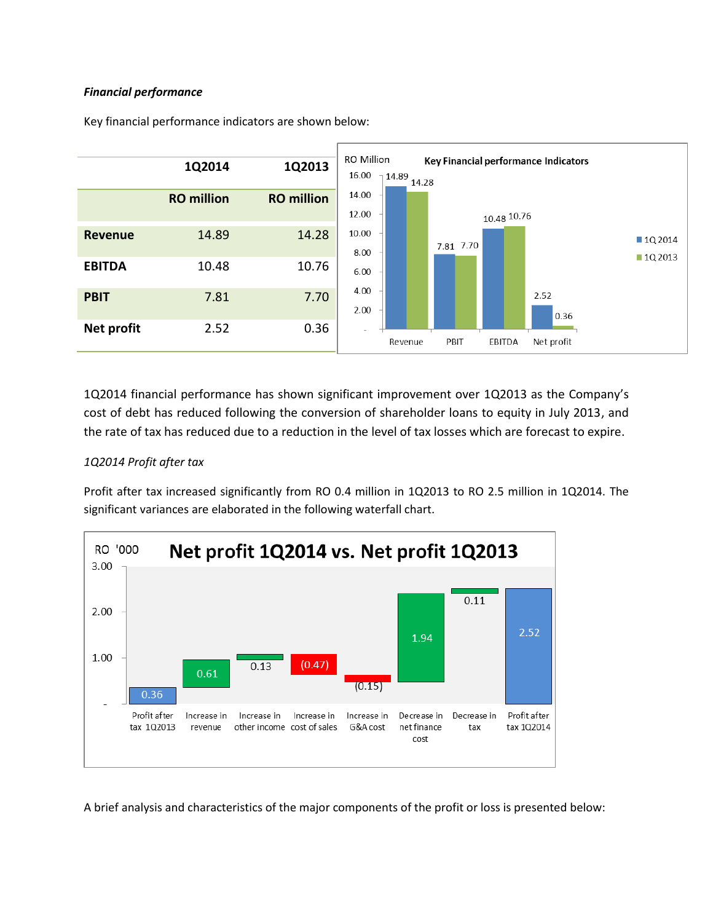## *Financial performance*



Key financial performance indicators are shown below:

1Q2014 financial performance has shown significant improvement over 1Q2013 as the Company's cost of debt has reduced following the conversion of shareholder loans to equity in July 2013, and the rate of tax has reduced due to a reduction in the level of tax losses which are forecast to expire.

## *1Q2014 Profit after tax*

Profit after tax increased significantly from RO 0.4 million in 1Q2013 to RO 2.5 million in 1Q2014. The significant variances are elaborated in the following waterfall chart.



A brief analysis and characteristics of the major components of the profit or loss is presented below: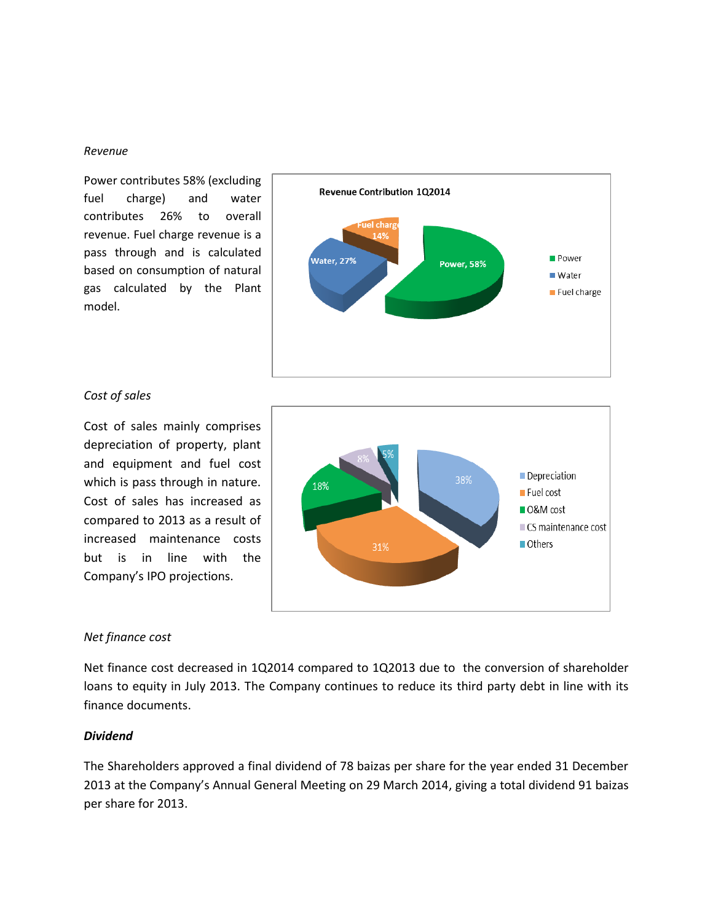#### *Revenue*

Power contributes 58% (excluding fuel charge) and water contributes 26% to overall revenue. Fuel charge revenue is a pass through and is calculated based on consumption of natural gas calculated by the Plant model.



### *Cost of sales*

Cost of sales mainly comprises depreciation of property, plant and equipment and fuel cost which is pass through in nature. Cost of sales has increased as compared to 2013 as a result of increased maintenance costs but is in line with the Company's IPO projections.



### *Net finance cost*

Net finance cost decreased in 1Q2014 compared to 1Q2013 due to the conversion of shareholder loans to equity in July 2013. The Company continues to reduce its third party debt in line with its finance documents.

## *Dividend*

The Shareholders approved a final dividend of 78 baizas per share for the year ended 31 December 2013 at the Company's Annual General Meeting on 29 March 2014, giving a total dividend 91 baizas per share for 2013.